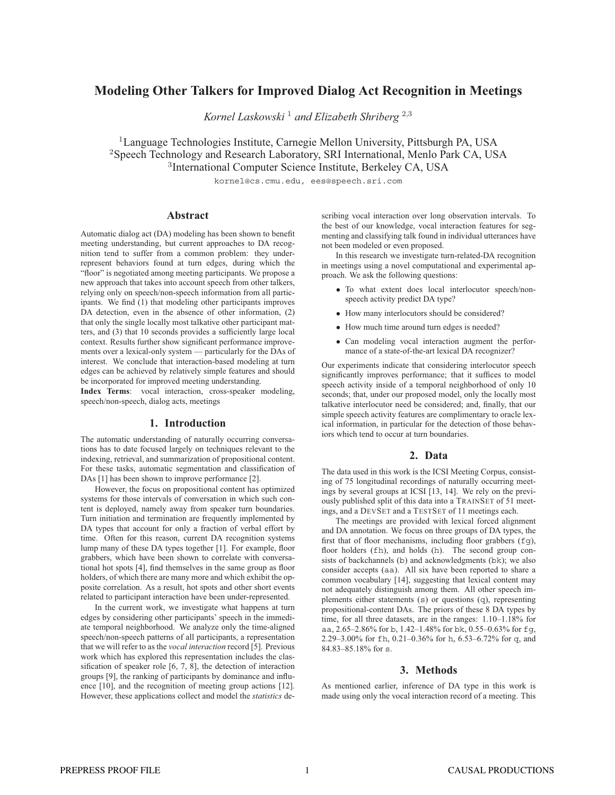# **Modeling Other Talkers for Improved Dialog Act Recognition in Meetings**

*Kornel Laskowski* <sup>1</sup> *and Elizabeth Shriberg* <sup>2</sup>,<sup>3</sup>

<sup>1</sup>Language Technologies Institute, Carnegie Mellon University, Pittsburgh PA, USA <sup>2</sup>Speech Technology and Research Laboratory, SRI International, Menlo Park CA, USA 3 International Computer Science Institute, Berkeley CA, USA

kornel@cs.cmu.edu, ees@speech.sri.com

# **Abstract**

Automatic dialog act (DA) modeling has been shown to benefit meeting understanding, but current approaches to DA recognition tend to suffer from a common problem: they underrepresent behaviors found at turn edges, during which the "floor" is negotiated among meeting participants. We propose a new approach that takes into account speech from other talkers, relying only on speech/non-speech information from all participants. We find (1) that modeling other participants improves DA detection, even in the absence of other information, (2) that only the single locally most talkative other participant matters, and (3) that 10 seconds provides a sufficiently large local context. Results further show significant performance improvements over a lexical-only system — particularly for the DAs of interest. We conclude that interaction-based modeling at turn edges can be achieved by relatively simple features and should be incorporated for improved meeting understanding.

**Index Terms**: vocal interaction, cross-speaker modeling, speech/non-speech, dialog acts, meetings

#### **1. Introduction**

The automatic understanding of naturally occurring conversations has to date focused largely on techniques relevant to the indexing, retrieval, and summarization of propositional content. For these tasks, automatic segmentation and classification of DAs [1] has been shown to improve performance [2].

However, the focus on propositional content has optimized systems for those intervals of conversation in which such content is deployed, namely away from speaker turn boundaries. Turn initiation and termination are frequently implemented by DA types that account for only a fraction of verbal effort by time. Often for this reason, current DA recognition systems lump many of these DA types together [1]. For example, floor grabbers, which have been shown to correlate with conversational hot spots [4], find themselves in the same group as floor holders, of which there are many more and which exhibit the opposite correlation. As a result, hot spots and other short events related to participant interaction have been under-represented.

In the current work, we investigate what happens at turn edges by considering other participants' speech in the immediate temporal neighborhood. We analyze only the time-aligned speech/non-speech patterns of all participants, a representation that we will refer to as the *vocal interaction* record [5]. Previous work which has explored this representation includes the classification of speaker role [6, 7, 8], the detection of interaction groups [9], the ranking of participants by dominance and influence [10], and the recognition of meeting group actions [12]. However, these applications collect and model the *statistics* describing vocal interaction over long observation intervals. To the best of our knowledge, vocal interaction features for segmenting and classifying talk found in individual utterances have not been modeled or even proposed.

In this research we investigate turn-related-DA recognition in meetings using a novel computational and experimental approach. We ask the following questions:

- To what extent does local interlocutor speech/nonspeech activity predict DA type?
- How many interlocutors should be considered?
- How much time around turn edges is needed?
- Can modeling vocal interaction augment the performance of a state-of-the-art lexical DA recognizer?

Our experiments indicate that considering interlocutor speech significantly improves performance; that it suffices to model speech activity inside of a temporal neighborhood of only 10 seconds; that, under our proposed model, only the locally most talkative interlocutor need be considered; and, finally, that our simple speech activity features are complimentary to oracle lexical information, in particular for the detection of those behaviors which tend to occur at turn boundaries.

# **2. Data**

The data used in this work is the ICSI Meeting Corpus, consisting of 75 longitudinal recordings of naturally occurring meetings by several groups at ICSI [13, 14]. We rely on the previously published split of this data into a TRAINSET of 51 meetings, and a DEVSET and a TESTSET of 11 meetings each.

The meetings are provided with lexical forced alignment and DA annotation. We focus on three groups of DA types, the first that of floor mechanisms, including floor grabbers  $(fq)$ , floor holders (fh), and holds (h). The second group consists of backchannels (b) and acknowledgments (bk); we also consider accepts (aa). All six have been reported to share a common vocabulary [14], suggesting that lexical content may not adequately distinguish among them. All other speech implements either statements (s) or questions (q), representing propositional-content DAs. The priors of these 8 DA types by time, for all three datasets, are in the ranges: 1.10–1.18% for aa, 2.65–2.86% for b, 1.42–1.48% for bk, 0.55–0.63% for fg, 2.29–3.00% for fh, 0.21–0.36% for h, 6.53–6.72% for q, and 84.83–85.18% for s.

# **3. Methods**

As mentioned earlier, inference of DA type in this work is made using only the vocal interaction record of a meeting. This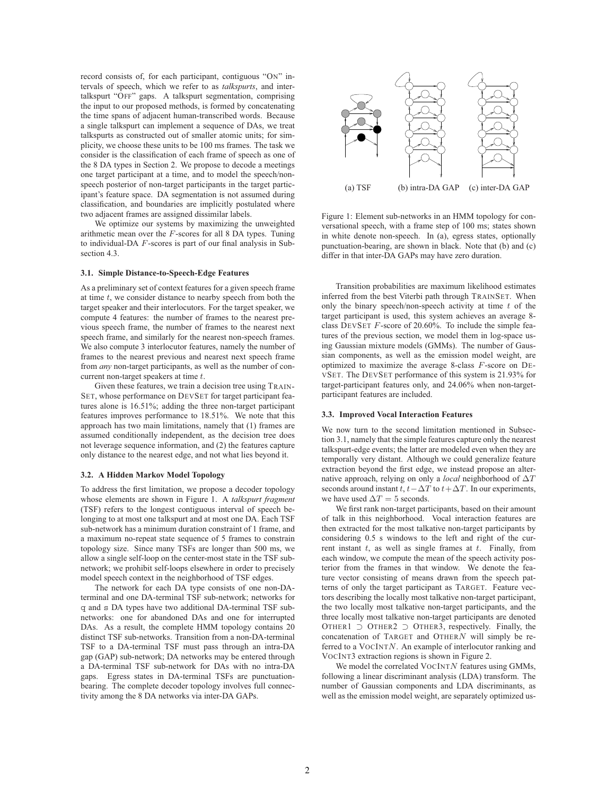record consists of, for each participant, contiguous "ON" intervals of speech, which we refer to as *talkspurts*, and intertalkspurt "OFF" gaps. A talkspurt segmentation, comprising the input to our proposed methods, is formed by concatenating the time spans of adjacent human-transcribed words. Because a single talkspurt can implement a sequence of DAs, we treat talkspurts as constructed out of smaller atomic units; for simplicity, we choose these units to be 100 ms frames. The task we consider is the classification of each frame of speech as one of the 8 DA types in Section 2. We propose to decode a meetings one target participant at a time, and to model the speech/nonspeech posterior of non-target participants in the target participant's feature space. DA segmentation is not assumed during classification, and boundaries are implicitly postulated where two adjacent frames are assigned dissimilar labels.

We optimize our systems by maximizing the unweighted arithmetic mean over the  $F$ -scores for all 8 DA types. Tuning to individual-DA F-scores is part of our final analysis in Subsection 4.3.

#### **3.1. Simple Distance-to-Speech-Edge Features**

As a preliminary set of context features for a given speech frame at time  $t$ , we consider distance to nearby speech from both the target speaker and their interlocutors. For the target speaker, we compute 4 features: the number of frames to the nearest previous speech frame, the number of frames to the nearest next speech frame, and similarly for the nearest non-speech frames. We also compute 3 interlocutor features, namely the number of frames to the nearest previous and nearest next speech frame from *any* non-target participants, as well as the number of concurrent non-target speakers at time  $t$ .

Given these features, we train a decision tree using TRAIN-SET, whose performance on DEVSET for target participant features alone is 16.51%; adding the three non-target participant features improves performance to 18.51%. We note that this approach has two main limitations, namely that (1) frames are assumed conditionally independent, as the decision tree does not leverage sequence information, and (2) the features capture only distance to the nearest edge, and not what lies beyond it.

#### **3.2. A Hidden Markov Model Topology**

To address the first limitation, we propose a decoder topology whose elements are shown in Figure 1. A *talkspurt fragment* (TSF) refers to the longest contiguous interval of speech belonging to at most one talkspurt and at most one DA. Each TSF sub-network has a minimum duration constraint of 1 frame, and a maximum no-repeat state sequence of 5 frames to constrain topology size. Since many TSFs are longer than 500 ms, we allow a single self-loop on the center-most state in the TSF subnetwork; we prohibit self-loops elsewhere in order to precisely model speech context in the neighborhood of TSF edges.

The network for each DA type consists of one non-DAterminal and one DA-terminal TSF sub-network; networks for q and s DA types have two additional DA-terminal TSF subnetworks: one for abandoned DAs and one for interrupted DAs. As a result, the complete HMM topology contains 20 distinct TSF sub-networks. Transition from a non-DA-terminal TSF to a DA-terminal TSF must pass through an intra-DA gap (GAP) sub-network; DA networks may be entered through a DA-terminal TSF sub-network for DAs with no intra-DA gaps. Egress states in DA-terminal TSFs are punctuationbearing. The complete decoder topology involves full connectivity among the 8 DA networks via inter-DA GAPs.



Figure 1: Element sub-networks in an HMM topology for conversational speech, with a frame step of 100 ms; states shown in white denote non-speech. In (a), egress states, optionally punctuation-bearing, are shown in black. Note that (b) and (c) differ in that inter-DA GAPs may have zero duration.

Transition probabilities are maximum likelihood estimates inferred from the best Viterbi path through TRAINSET. When only the binary speech/non-speech activity at time  $t$  of the target participant is used, this system achieves an average 8 class DEVSET F-score of 20.60%. To include the simple features of the previous section, we model them in log-space using Gaussian mixture models (GMMs). The number of Gaussian components, as well as the emission model weight, are optimized to maximize the average 8-class F-score on DE-VSET. The DEVSET performance of this system is 21.93% for target-participant features only, and 24.06% when non-targetparticipant features are included.

#### **3.3. Improved Vocal Interaction Features**

We now turn to the second limitation mentioned in Subsection 3.1, namely that the simple features capture only the nearest talkspurt-edge events; the latter are modeled even when they are temporally very distant. Although we could generalize feature extraction beyond the first edge, we instead propose an alternative approach, relying on only a *local* neighborhood of ∆T seconds around instant  $t, t-\Delta T$  to  $t+\Delta T$ . In our experiments, we have used  $\Delta T = 5$  seconds.

We first rank non-target participants, based on their amount of talk in this neighborhood. Vocal interaction features are then extracted for the most talkative non-target participants by considering 0.5 s windows to the left and right of the current instant  $t$ , as well as single frames at  $t$ . Finally, from each window, we compute the mean of the speech activity posterior from the frames in that window. We denote the feature vector consisting of means drawn from the speech patterns of only the target participant as TARGET. Feature vectors describing the locally most talkative non-target participant, the two locally most talkative non-target participants, and the three locally most talkative non-target participants are denoted OTHER1  $\supset$  OTHER2  $\supset$  OTHER3, respectively. Finally, the concatenation of TARGET and OTHERN will simply be referred to a VOCINTN. An example of interlocutor ranking and VOCINT3 extraction regions is shown in Figure 2.

We model the correlated  $VocINTN$  features using GMMs, following a linear discriminant analysis (LDA) transform. The number of Gaussian components and LDA discriminants, as well as the emission model weight, are separately optimized us-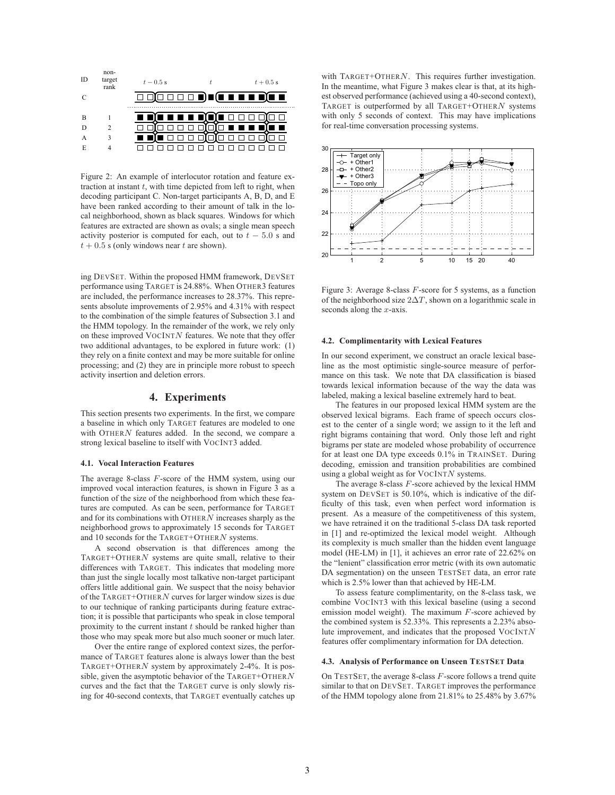

Figure 2: An example of interlocutor rotation and feature extraction at instant  $t$ , with time depicted from left to right, when decoding participant C. Non-target participants A, B, D, and E have been ranked according to their amount of talk in the local neighborhood, shown as black squares. Windows for which features are extracted are shown as ovals; a single mean speech activity posterior is computed for each, out to  $t - 5.0$  s and  $t + 0.5$  s (only windows near t are shown).

ing DEVSET. Within the proposed HMM framework, DEVSET performance using TARGET is 24.88%. When OTHER3 features are included, the performance increases to 28.37%. This represents absolute improvements of 2.95% and 4.31% with respect to the combination of the simple features of Subsection 3.1 and the HMM topology. In the remainder of the work, we rely only on these improved  $VocINTN$  features. We note that they offer two additional advantages, to be explored in future work: (1) they rely on a finite context and may be more suitable for online processing; and (2) they are in principle more robust to speech activity insertion and deletion errors.

# **4. Experiments**

This section presents two experiments. In the first, we compare a baseline in which only TARGET features are modeled to one with OTHERN features added. In the second, we compare a strong lexical baseline to itself with VOCINT3 added.

#### **4.1. Vocal Interaction Features**

The average 8-class F-score of the HMM system, using our improved vocal interaction features, is shown in Figure 3 as a function of the size of the neighborhood from which these features are computed. As can be seen, performance for TARGET and for its combinations with  $O$ THER $N$  increases sharply as the neighborhood grows to approximately 15 seconds for TARGET and 10 seconds for the TARGET+OTHERN systems.

A second observation is that differences among the TARGET+OTHERN systems are quite small, relative to their differences with TARGET. This indicates that modeling more than just the single locally most talkative non-target participant offers little additional gain. We suspect that the noisy behavior of the TARGET+OTHERN curves for larger window sizes is due to our technique of ranking participants during feature extraction; it is possible that participants who speak in close temporal proximity to the current instant  $t$  should be ranked higher than those who may speak more but also much sooner or much later.

Over the entire range of explored context sizes, the performance of TARGET features alone is always lower than the best TARGET+OTHERN system by approximately 2-4%. It is possible, given the asymptotic behavior of the TARGET+OTHERN curves and the fact that the TARGET curve is only slowly rising for 40-second contexts, that TARGET eventually catches up with  $TARGE + OTHERN$ . This requires further investigation. In the meantime, what Figure 3 makes clear is that, at its highest observed performance (achieved using a 40-second context), TARGET is outperformed by all  $TARGET+OTHERN$  systems with only 5 seconds of context. This may have implications for real-time conversation processing systems.



Figure 3: Average 8-class F-score for 5 systems, as a function of the neighborhood size  $2\Delta T$ , shown on a logarithmic scale in seconds along the  $x$ -axis.

#### **4.2. Complimentarity with Lexical Features**

In our second experiment, we construct an oracle lexical baseline as the most optimistic single-source measure of performance on this task. We note that DA classification is biased towards lexical information because of the way the data was labeled, making a lexical baseline extremely hard to beat.

The features in our proposed lexical HMM system are the observed lexical bigrams. Each frame of speech occurs closest to the center of a single word; we assign to it the left and right bigrams containing that word. Only those left and right bigrams per state are modeled whose probability of occurrence for at least one DA type exceeds 0.1% in TRAINSET. During decoding, emission and transition probabilities are combined using a global weight as for  $VocINTN$  systems.

The average 8-class  $F$ -score achieved by the lexical HMM system on DEVSET is 50.10%, which is indicative of the difficulty of this task, even when perfect word information is present. As a measure of the competitiveness of this system, we have retrained it on the traditional 5-class DA task reported in [1] and re-optimized the lexical model weight. Although its complexity is much smaller than the hidden event language model (HE-LM) in [1], it achieves an error rate of 22.62% on the "lenient" classification error metric (with its own automatic DA segmentation) on the unseen TESTSET data, an error rate which is 2.5% lower than that achieved by HE-LM.

To assess feature complimentarity, on the 8-class task, we combine VOCINT3 with this lexical baseline (using a second emission model weight). The maximum  $F$ -score achieved by the combined system is 52.33%. This represents a 2.23% absolute improvement, and indicates that the proposed  $VocINTN$ features offer complimentary information for DA detection.

#### **4.3. Analysis of Performance on Unseen TESTSET Data**

On TESTSET, the average 8-class  $F$ -score follows a trend quite similar to that on DEVSET. TARGET improves the performance of the HMM topology alone from 21.81% to 25.48% by 3.67%